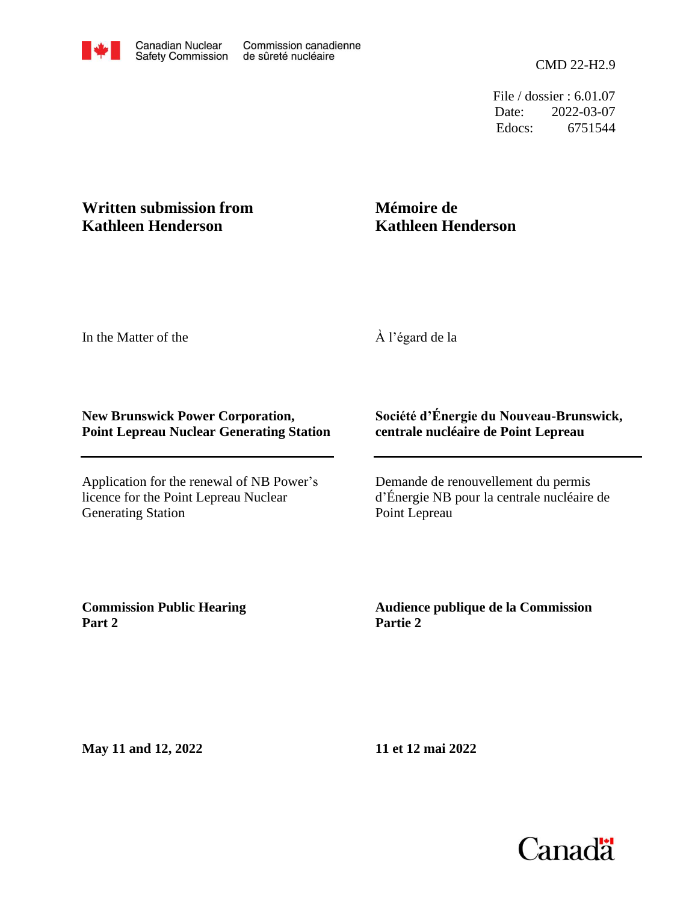File / dossier : 6.01.07 Date: 2022-03-07 Edocs: 6751544

## **Written submission from Kathleen Henderson**

## **Mémoire de Kathleen Henderson**

In the Matter of the

À l'égard de la

## **New Brunswick Power Corporation, Point Lepreau Nuclear Generating Station**

Application for the renewal of NB Power's licence for the Point Lepreau Nuclear Generating Station

## **Société d'Énergie du Nouveau-Brunswick, centrale nucléaire de Point Lepreau**

Demande de renouvellement du permis d'Énergie NB pour la centrale nucléaire de Point Lepreau

**Commission Public Hearing Part 2**

**Audience publique de la Commission Partie 2**

**May 11 and 12, 2022**

**11 et 12 mai 2022**